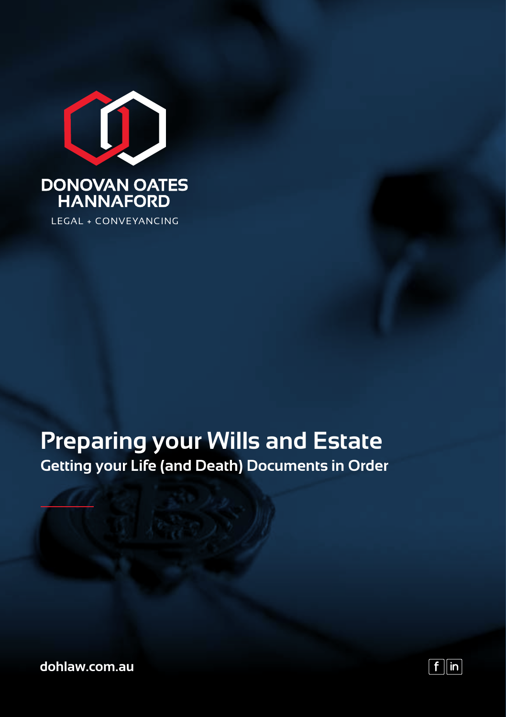

## **Preparing your Wills and Estate Getting your Life (and Death) Documents in Order**

**dohlaw.com.au**

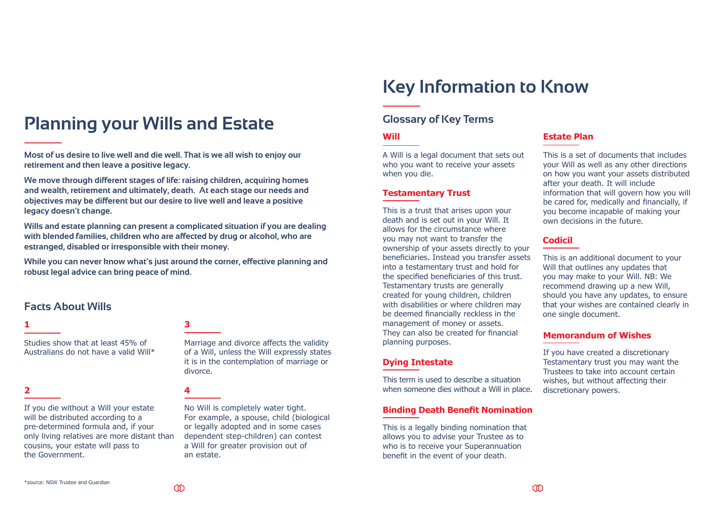# **Planning your Wills and Estate**

**Most of us desire to live well and die well. That is we all wish to enjoy our retirement and then leave a positive legacy.**

**We move through different stages of life: raising children, acquiring homes and wealth, retirement and ultimately, death. At each stage our needs and objectives may be different but our desire to live well and leave a positive legacy doesn't change.**

**Wills and estate planning can present a complicated situation if you are dealing with blended families, children who are affected by drug or alcohol, who are estranged, disabled or irresponsible with their money.**

**While you can never know what's just around the corner, effective planning and robust legal advice can bring peace of mind.** 

### **Facts About Wills**

Studies show that at least 45% of Australians do not have a valid Will\*

#### **2**

If you die without a Will your estate will be distributed according to a pre-determined formula and, if your only living relatives are more distant than cousins, your estate will pass to the Government.

### **1 3**

Marriage and divorce affects the validity of a Will, unless the Will expressly states it is in the contemplation of marriage or divorce.

#### **4**

No Will is completely water tight. For example, a spouse, child (biological or legally adopted and in some cases dependent step-children) can contest a Will for greater provision out of an estate.

# **Key Information to Know**

### **Glossary of Key Terms**

#### **Will**

A Will is a legal document that sets out who you want to receive your assets when you die.

#### **Testamentary Trust**

This is a trust that arises upon your death and is set out in your Will. It allows for the circumstance where you may not want to transfer the ownership of your assets directly to your beneficiaries. Instead you transfer assets into a testamentary trust and hold for the specified beneficiaries of this trust. Testamentary trusts are generally created for young children, children with disabilities or where children may be deemed financially reckless in the management of money or assets. They can also be created for financial planning purposes.

#### **Dying Intestate**

This term is used to describe a situation when someone dies without a Will in place.

### **Binding Death Benefit Nomination**

This is a legally binding nomination that allows you to advise your Trustee as to who is to receive your Superannuation benefit in the event of your death.

### **Estate Plan**

This is a set of documents that includes your Will as well as any other directions on how you want your assets distributed after your death. It will include information that will govern how you will be cared for, medically and financially, if you become incapable of making your own decisions in the future.

#### **Codicil**

This is an additional document to your Will that outlines any updates that you may make to your Will. NB: We recommend drawing up a new Will, should you have any updates, to ensure that your wishes are contained clearly in one single document.

#### **Memorandum of Wishes**

If you have created a discretionary Testamentary trust you may want the Trustees to take into account certain wishes, but without affecting their discretionary powers.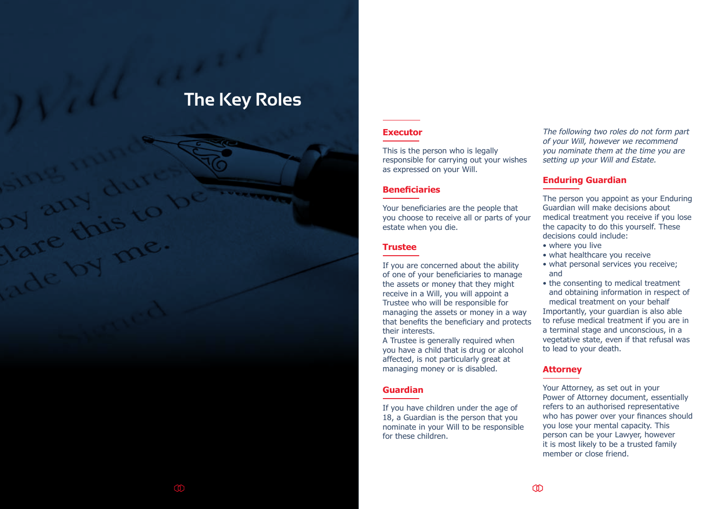# **The Key Roles**

#### **Executor**

This is the person who is legally responsible for carrying out your wishes as expressed on your Will.

#### **Beneficiaries**

Your beneficiaries are the people that you choose to receive all or parts of your estate when you die.

#### **Trustee**

If you are concerned about the ability of one of your beneficiaries to manage the assets or money that they might receive in a Will, you will appoint a Trustee who will be responsible for managing the assets or money in a way that benefits the beneficiary and protects their interests.

A Trustee is generally required when you have a child that is drug or alcohol affected, is not particularly great at managing money or is disabled.

#### **Guardian**

If you have children under the age of 18, a Guardian is the person that you nominate in your Will to be responsible for these children.

The following two roles do not form part of your Will, however we recommend you nominate them at the time you are setting up your Will and Estate.

#### **Enduring Guardian**

The person you appoint as your Enduring Guardian will make decisions about medical treatment you receive if you lose the capacity to do this yourself. These decisions could include:

- where you live
- what healthcare you receive
- what personal services you receive; and

• the consenting to medical treatment and obtaining information in respect of medical treatment on your behalf Importantly, your guardian is also able to refuse medical treatment if you are in a terminal stage and unconscious, in a vegetative state, even if that refusal was to lead to your death.

#### **Attorney**

Your Attorney, as set out in your Power of Attorney document, essentially refers to an authorised representative who has power over your finances should you lose your mental capacity. This person can be your Lawyer, however it is most likely to be a trusted family member or close friend.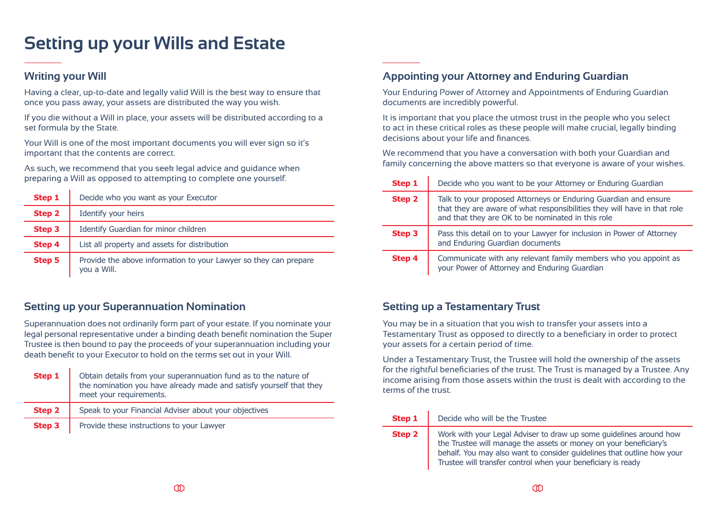# **Setting up your Wills and Estate**

### **Writing your Will**

Having a clear, up-to-date and legally valid Will is the best way to ensure that once you pass away, your assets are distributed the way you wish.

If you die without a Will in place, your assets will be distributed according to a set formula by the State.

Your Will is one of the most important documents you will ever sign so it's important that the contents are correct.

As such, we recommend that you seek legal advice and guidance when preparing a Will as opposed to attempting to complete one yourself.

| Step 1        | Decide who you want as your Executor                                            |
|---------------|---------------------------------------------------------------------------------|
| Step 2        | Identify your heirs                                                             |
| <b>Step 3</b> | Identify Guardian for minor children                                            |
| Step 4        | List all property and assets for distribution                                   |
| <b>Step 5</b> | Provide the above information to your Lawyer so they can prepare<br>vou a Will. |

### **Setting up your Superannuation Nomination**

Superannuation does not ordinarily form part of your estate. If you nominate your legal personal representative under a binding death benefit nomination the Super Trustee is then bound to pay the proceeds of your superannuation including your death benefit to your Executor to hold on the terms set out in your Will.

| Step 1 | Obtain details from your superannuation fund as to the nature of<br>the nomination you have already made and satisfy yourself that they<br>meet your requirements. |
|--------|--------------------------------------------------------------------------------------------------------------------------------------------------------------------|
| Step 2 | Speak to your Financial Adviser about your objectives                                                                                                              |
| Step 3 | Provide these instructions to your Lawyer                                                                                                                          |

### **Appointing your Attorney and Enduring Guardian**

Your Enduring Power of Attorney and Appointments of Enduring Guardian documents are incredibly powerful.

It is important that you place the utmost trust in the people who you select to act in these critical roles as these people will make crucial, legally binding decisions about your life and finances.

We recommend that you have a conversation with both your Guardian and family concerning the above matters so that everyone is aware of your wishes.

| Step 1        | Decide who you want to be your Attorney or Enduring Guardian                                                                                                                                     |
|---------------|--------------------------------------------------------------------------------------------------------------------------------------------------------------------------------------------------|
| <b>Step 2</b> | Talk to your proposed Attorneys or Enduring Guardian and ensure<br>that they are aware of what responsibilities they will have in that role<br>and that they are OK to be nominated in this role |
| Step 3        | Pass this detail on to your Lawyer for inclusion in Power of Attorney<br>and Enduring Guardian documents                                                                                         |
| <b>Step 4</b> | Communicate with any relevant family members who you appoint as<br>your Power of Attorney and Enduring Guardian                                                                                  |

### **Setting up a Testamentary Trust**

You may be in a situation that you wish to transfer your assets into a Testamentary Trust as opposed to directly to a beneficiary in order to protect your assets for a certain period of time.

Under a Testamentary Trust, the Trustee will hold the ownership of the assets for the rightful beneficiaries of the trust. The Trust is managed by a Trustee. Any income arising from those assets within the trust is dealt with according to the terms of the trust.

| Step 1 | Decide who will be the Trustee                                                                                                                                                                                                                                                    |
|--------|-----------------------------------------------------------------------------------------------------------------------------------------------------------------------------------------------------------------------------------------------------------------------------------|
| Step 2 | Work with your Legal Adviser to draw up some guidelines around how<br>the Trustee will manage the assets or money on your beneficiary's<br>behalf. You may also want to consider guidelines that outline how your<br>Trustee will transfer control when your beneficiary is ready |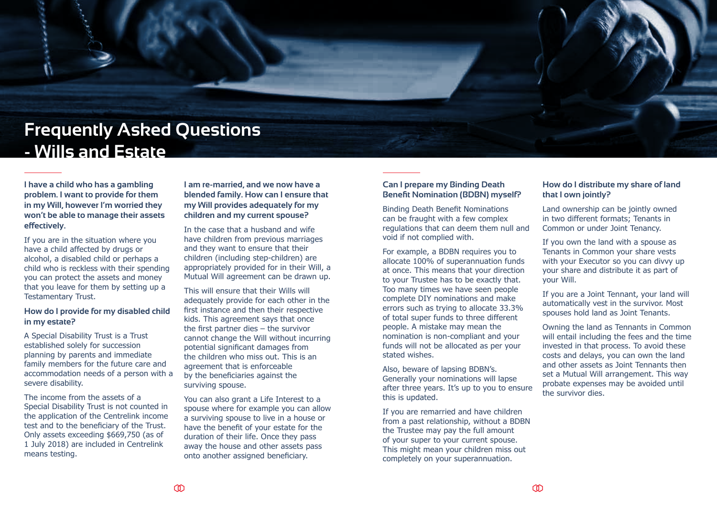# **Frequently Asked Questions - Wills and Estate**

**I have a child who has a gambling problem. I want to provide for them in my Will, however I'm worried they won't be able to manage their assets effectively.**

If you are in the situation where you have a child affected by drugs or alcohol, a disabled child or perhaps a child who is reckless with their spending you can protect the assets and money that you leave for them by setting up a Testamentary Trust.

#### **How do I provide for my disabled child in my estate?**

A Special Disability Trust is a Trust established solely for succession planning by parents and immediate family members for the future care and accommodation needs of a person with a severe disability.

The income from the assets of a Special Disability Trust is not counted in the application of the Centrelink income test and to the beneficiary of the Trust. Only assets exceeding \$669,750 (as of 1 July 2018) are included in Centrelink means testing.

**I am re-married, and we now have a blended family. How can I ensure that my Will provides adequately for my children and my current spouse?**

In the case that a husband and wife have children from previous marriages and they want to ensure that their children (including step-children) are appropriately provided for in their Will, a Mutual Will agreement can be drawn up.

This will ensure that their Wills will adequately provide for each other in the first instance and then their respective kids. This agreement says that once the first partner dies – the survivor cannot change the Will without incurring potential significant damages from the children who miss out. This is an agreement that is enforceable by the beneficiaries against the surviving spouse.

You can also grant a Life Interest to a spouse where for example you can allow a surviving spouse to live in a house or have the benefit of your estate for the duration of their life. Once they pass away the house and other assets pass onto another assigned beneficiary.

#### **Can I prepare my Binding Death Benefit Nomination (BDBN) myself?**

Binding Death Benefit Nominations can be fraught with a few complex regulations that can deem them null and void if not complied with.

For example, a BDBN requires you to allocate 100% of superannuation funds at once. This means that your direction to your Trustee has to be exactly that. Too many times we have seen people complete DIY nominations and make errors such as trying to allocate 33.3% of total super funds to three different people. A mistake may mean the nomination is non-compliant and your funds will not be allocated as per your stated wishes.

Also, beware of lapsing BDBN's. Generally your nominations will lapse after three years. It's up to you to ensure this is updated.

If you are remarried and have children from a past relationship, without a BDBN the Trustee may pay the full amount of your super to your current spouse. This might mean your children miss out completely on your superannuation.

#### **How do I distribute my share of land that I own jointly?**

Land ownership can be jointly owned in two different formats; Tenants in Common or under Joint Tenancy.

If you own the land with a spouse as Tenants in Common your share vests with your Executor so you can divvy up your share and distribute it as part of your Will.

If you are a Joint Tennant, your land will automatically vest in the survivor. Most spouses hold land as Joint Tenants.

Owning the land as Tennants in Common will entail including the fees and the time invested in that process. To avoid these costs and delays, you can own the land and other assets as Joint Tennants then set a Mutual Will arrangement. This way probate expenses may be avoided until the survivor dies.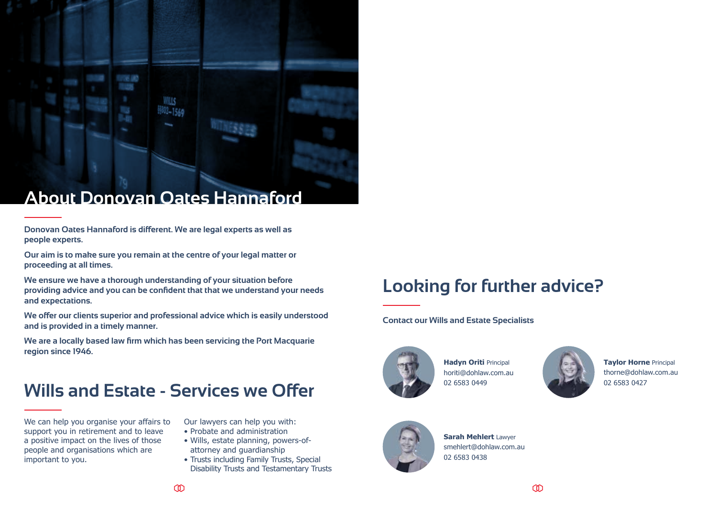

**Donovan Oates Hannaford is different. We are legal experts as well as people experts.**

**Our aim is to make sure you remain at the centre of your legal matter or proceeding at all times.**

**We ensure we have a thorough understanding of your situation before providing advice and you can be confident that that we understand your needs and expectations.**

**We offer our clients superior and professional advice which is easily understood and is provided in a timely manner.**

**We are a locally based law firm which has been servicing the Port Macquarie region since 1946.**

# **Wills and Estate - Services we Offer**

We can help you organise your affairs to support you in retirement and to leave a positive impact on the lives of those people and organisations which are important to you.

Our lawyers can help you with:

- Probate and administration
- Wills, estate planning, powers-ofattorney and guardianship
- Trusts including Family Trusts, Special Disability Trusts and Testamentary Trusts

# **Looking for further advice?**

**Contact our Wills and Estate Specialists**



**Hadyn Oriti** Principal horiti@dohlaw.com.au 02 6583 0449



**Taylor Horne** Principal thorne@dohlaw.com.au 02 6583 0427



**Sarah Mehlert** Lawyer smehlert@dohlaw.com.au 02 6583 0438